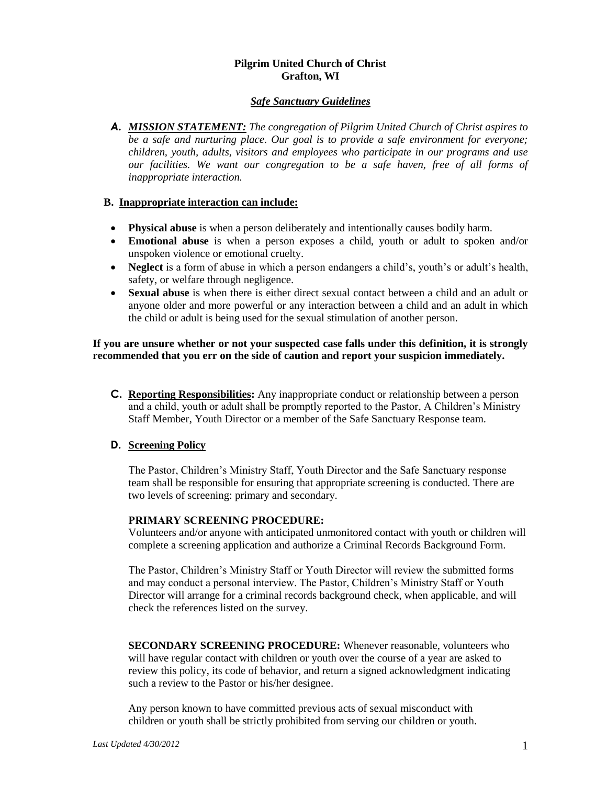## **Pilgrim United Church of Christ Grafton, WI**

## *Safe Sanctuary Guidelines*

*A. MISSION STATEMENT: The congregation of Pilgrim United Church of Christ aspires to be a safe and nurturing place. Our goal is to provide a safe environment for everyone; children, youth, adults, visitors and employees who participate in our programs and use our facilities. We want our congregation to be a safe haven, free of all forms of inappropriate interaction.*

## **B. Inappropriate interaction can include:**

- **Physical abuse** is when a person deliberately and intentionally causes bodily harm.
- **Emotional abuse** is when a person exposes a child, youth or adult to spoken and/or unspoken violence or emotional cruelty.
- **Neglect** is a form of abuse in which a person endangers a child's, youth's or adult's health, safety, or welfare through negligence.
- **Sexual abuse** is when there is either direct sexual contact between a child and an adult or anyone older and more powerful or any interaction between a child and an adult in which the child or adult is being used for the sexual stimulation of another person.

## **If you are unsure whether or not your suspected case falls under this definition, it is strongly recommended that you err on the side of caution and report your suspicion immediately.**

**C. Reporting Responsibilities:** Any inappropriate conduct or relationship between a person and a child, youth or adult shall be promptly reported to the Pastor, A Children's Ministry Staff Member, Youth Director or a member of the Safe Sanctuary Response team.

## **D. Screening Policy**

The Pastor, Children's Ministry Staff, Youth Director and the Safe Sanctuary response team shall be responsible for ensuring that appropriate screening is conducted. There are two levels of screening: primary and secondary*.*

#### **PRIMARY SCREENING PROCEDURE:**

Volunteers and/or anyone with anticipated unmonitored contact with youth or children will complete a screening application and authorize a Criminal Records Background Form.

The Pastor, Children's Ministry Staff or Youth Director will review the submitted forms and may conduct a personal interview. The Pastor, Children's Ministry Staff or Youth Director will arrange for a criminal records background check, when applicable, and will check the references listed on the survey.

**SECONDARY SCREENING PROCEDURE:** Whenever reasonable, volunteers who will have regular contact with children or youth over the course of a year are asked to review this policy, its code of behavior, and return a signed acknowledgment indicating such a review to the Pastor or his/her designee.

Any person known to have committed previous acts of sexual misconduct with children or youth shall be strictly prohibited from serving our children or youth.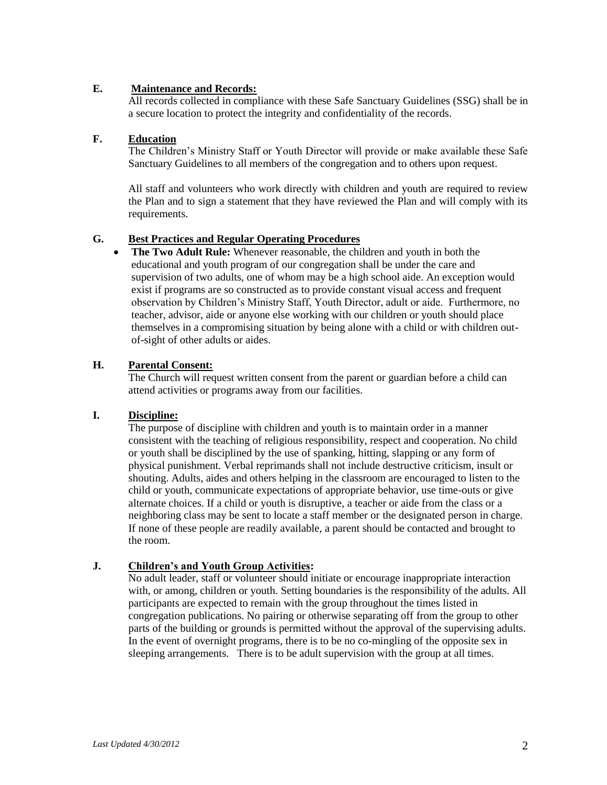## **E. Maintenance and Records:**

All records collected in compliance with these Safe Sanctuary Guidelines (SSG) shall be in a secure location to protect the integrity and confidentiality of the records.

## **F. Education**

The Children's Ministry Staff or Youth Director will provide or make available these Safe Sanctuary Guidelines to all members of the congregation and to others upon request.

All staff and volunteers who work directly with children and youth are required to review the Plan and to sign a statement that they have reviewed the Plan and will comply with its requirements.

## **G. Best Practices and Regular Operating Procedures**

 **The Two Adult Rule:** Whenever reasonable, the children and youth in both the educational and youth program of our congregation shall be under the care and supervision of two adults, one of whom may be a high school aide. An exception would exist if programs are so constructed as to provide constant visual access and frequent observation by Children's Ministry Staff, Youth Director, adult or aide. Furthermore, no teacher, advisor, aide or anyone else working with our children or youth should place themselves in a compromising situation by being alone with a child or with children outof-sight of other adults or aides.

## **H. Parental Consent:**

The Church will request written consent from the parent or guardian before a child can attend activities or programs away from our facilities.

## **I. Discipline:**

The purpose of discipline with children and youth is to maintain order in a manner consistent with the teaching of religious responsibility, respect and cooperation. No child or youth shall be disciplined by the use of spanking, hitting, slapping or any form of physical punishment. Verbal reprimands shall not include destructive criticism, insult or shouting. Adults, aides and others helping in the classroom are encouraged to listen to the child or youth, communicate expectations of appropriate behavior, use time-outs or give alternate choices. If a child or youth is disruptive, a teacher or aide from the class or a neighboring class may be sent to locate a staff member or the designated person in charge. If none of these people are readily available, a parent should be contacted and brought to the room.

## **J. Children's and Youth Group Activities:**

No adult leader, staff or volunteer should initiate or encourage inappropriate interaction with, or among, children or youth. Setting boundaries is the responsibility of the adults. All participants are expected to remain with the group throughout the times listed in congregation publications. No pairing or otherwise separating off from the group to other parts of the building or grounds is permitted without the approval of the supervising adults. In the event of overnight programs, there is to be no co-mingling of the opposite sex in sleeping arrangements. There is to be adult supervision with the group at all times.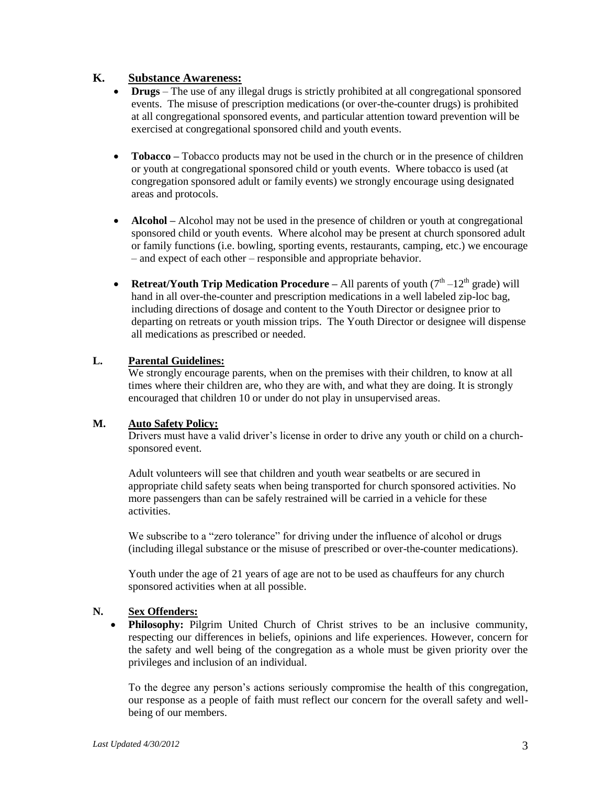## **K. Substance Awareness:**

- **Drugs** The use of any illegal drugs is strictly prohibited at all congregational sponsored events. The misuse of prescription medications (or over-the-counter drugs) is prohibited at all congregational sponsored events, and particular attention toward prevention will be exercised at congregational sponsored child and youth events.
- **Tobacco** Tobacco products may not be used in the church or in the presence of children or youth at congregational sponsored child or youth events. Where tobacco is used (at congregation sponsored adult or family events) we strongly encourage using designated areas and protocols.
- **Alcohol** Alcohol may not be used in the presence of children or youth at congregational sponsored child or youth events. Where alcohol may be present at church sponsored adult or family functions (i.e. bowling, sporting events, restaurants, camping, etc.) we encourage – and expect of each other – responsible and appropriate behavior.
- **Retreat/Youth Trip Medication Procedure** All parents of youth  $(7<sup>th</sup> 12<sup>th</sup>$  grade) will hand in all over-the-counter and prescription medications in a well labeled zip-loc bag, including directions of dosage and content to the Youth Director or designee prior to departing on retreats or youth mission trips. The Youth Director or designee will dispense all medications as prescribed or needed.

## **L. Parental Guidelines:**

We strongly encourage parents, when on the premises with their children, to know at all times where their children are, who they are with, and what they are doing. It is strongly encouraged that children 10 or under do not play in unsupervised areas.

## **M. Auto Safety Policy:**

Drivers must have a valid driver's license in order to drive any youth or child on a churchsponsored event.

Adult volunteers will see that children and youth wear seatbelts or are secured in appropriate child safety seats when being transported for church sponsored activities. No more passengers than can be safely restrained will be carried in a vehicle for these activities.

We subscribe to a "zero tolerance" for driving under the influence of alcohol or drugs (including illegal substance or the misuse of prescribed or over-the-counter medications).

Youth under the age of 21 years of age are not to be used as chauffeurs for any church sponsored activities when at all possible.

## **N. Sex Offenders:**

• Philosophy: Pilgrim United Church of Christ strives to be an inclusive community, respecting our differences in beliefs, opinions and life experiences. However, concern for the safety and well being of the congregation as a whole must be given priority over the privileges and inclusion of an individual.

To the degree any person's actions seriously compromise the health of this congregation, our response as a people of faith must reflect our concern for the overall safety and wellbeing of our members.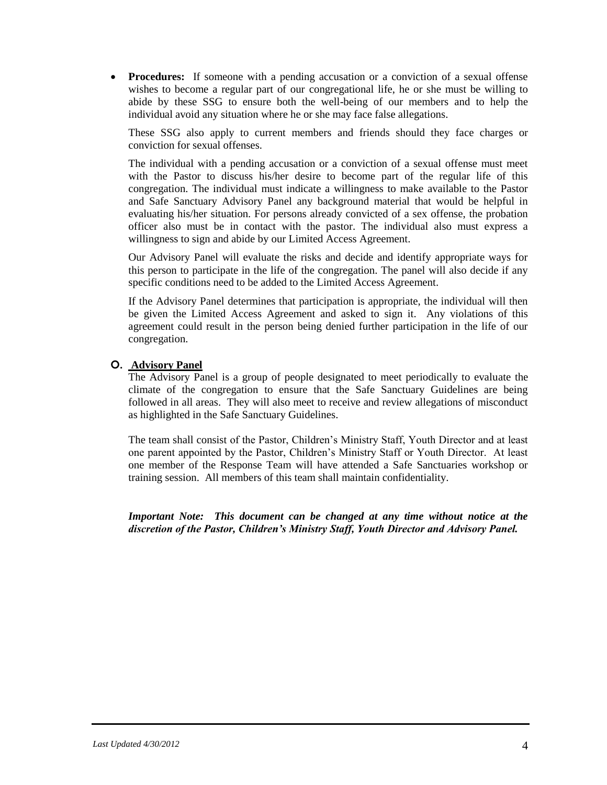• **Procedures:** If someone with a pending accusation or a conviction of a sexual offense wishes to become a regular part of our congregational life, he or she must be willing to abide by these SSG to ensure both the well-being of our members and to help the individual avoid any situation where he or she may face false allegations.

These SSG also apply to current members and friends should they face charges or conviction for sexual offenses.

The individual with a pending accusation or a conviction of a sexual offense must meet with the Pastor to discuss his/her desire to become part of the regular life of this congregation. The individual must indicate a willingness to make available to the Pastor and Safe Sanctuary Advisory Panel any background material that would be helpful in evaluating his/her situation. For persons already convicted of a sex offense, the probation officer also must be in contact with the pastor. The individual also must express a willingness to sign and abide by our Limited Access Agreement.

Our Advisory Panel will evaluate the risks and decide and identify appropriate ways for this person to participate in the life of the congregation. The panel will also decide if any specific conditions need to be added to the Limited Access Agreement.

If the Advisory Panel determines that participation is appropriate, the individual will then be given the Limited Access Agreement and asked to sign it. Any violations of this agreement could result in the person being denied further participation in the life of our congregation.

## **O. Advisory Panel**

The Advisory Panel is a group of people designated to meet periodically to evaluate the climate of the congregation to ensure that the Safe Sanctuary Guidelines are being followed in all areas. They will also meet to receive and review allegations of misconduct as highlighted in the Safe Sanctuary Guidelines.

The team shall consist of the Pastor, Children's Ministry Staff, Youth Director and at least one parent appointed by the Pastor, Children's Ministry Staff or Youth Director. At least one member of the Response Team will have attended a Safe Sanctuaries workshop or training session. All members of this team shall maintain confidentiality.

*Important Note: This document can be changed at any time without notice at the discretion of the Pastor, Children's Ministry Staff, Youth Director and Advisory Panel.*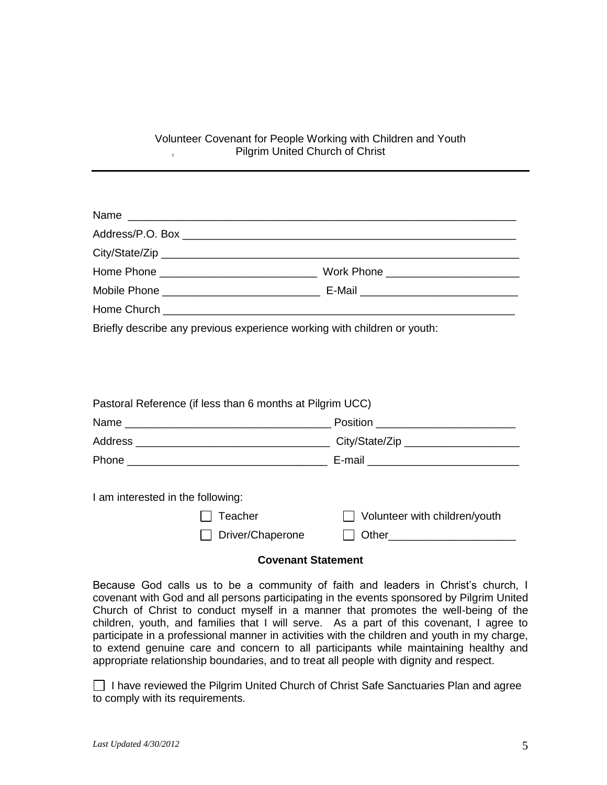#### Volunteer Covenant for People Working with Children and Youth Pilgrim United Church of Christ  $\mathbf{L}$

Briefly describe any previous experience working with children or youth:

| Pastoral Reference (if less than 6 months at Pilgrim UCC)        |                                      |
|------------------------------------------------------------------|--------------------------------------|
|                                                                  | Position ___________________________ |
|                                                                  |                                      |
|                                                                  |                                      |
| I am interested in the following:<br>Teacher<br>Driver/Chaperone | $\Box$ Volunteer with children/youth |

## **Covenant Statement**

Because God calls us to be a community of faith and leaders in Christ's church, I covenant with God and all persons participating in the events sponsored by Pilgrim United Church of Christ to conduct myself in a manner that promotes the well-being of the children, youth, and families that I will serve. As a part of this covenant, I agree to participate in a professional manner in activities with the children and youth in my charge, to extend genuine care and concern to all participants while maintaining healthy and appropriate relationship boundaries, and to treat all people with dignity and respect.

 $\Box$  I have reviewed the Pilgrim United Church of Christ Safe Sanctuaries Plan and agree to comply with its requirements.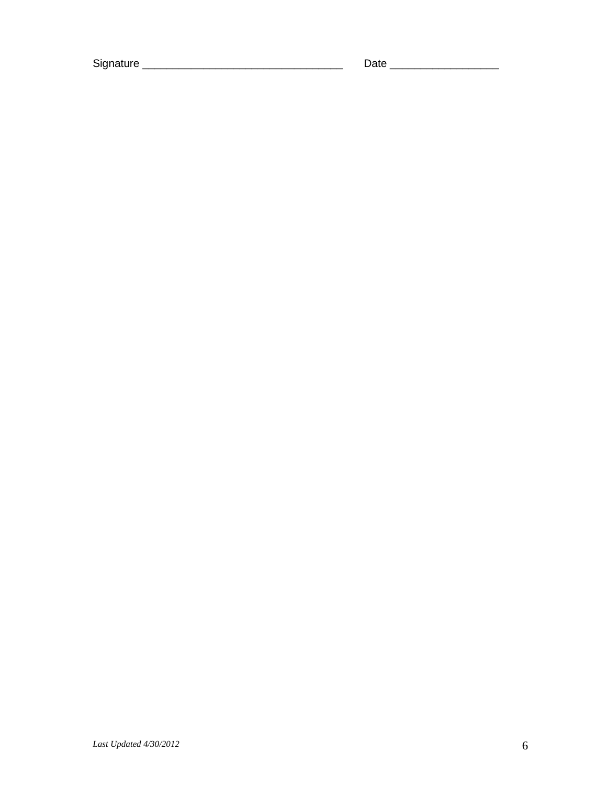Signature \_\_\_\_\_\_\_\_\_\_\_\_\_\_\_\_\_\_\_\_\_\_\_\_\_\_\_\_\_\_\_\_\_ Date \_\_\_\_\_\_\_\_\_\_\_\_\_\_\_\_\_\_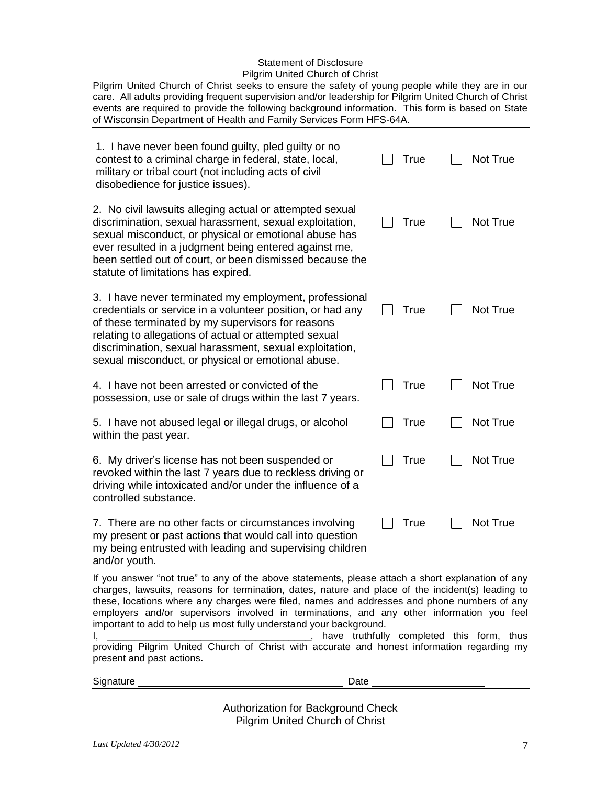# Statement of Disclosure

Pilgrim United Church of Christ

Pilgrim United Church of Christ seeks to ensure the safety of young people while they are in our care. All adults providing frequent supervision and/or leadership for Pilgrim United Church of Christ events are required to provide the following background information. This form is based on State of Wisconsin Department of Health and Family Services Form HFS-64A.

| 1. I have never been found guilty, pled guilty or no<br>contest to a criminal charge in federal, state, local,<br>military or tribal court (not including acts of civil<br>disobedience for justice issues).                                                                                                                                        |  | True        |  | Not True |
|-----------------------------------------------------------------------------------------------------------------------------------------------------------------------------------------------------------------------------------------------------------------------------------------------------------------------------------------------------|--|-------------|--|----------|
| 2. No civil lawsuits alleging actual or attempted sexual<br>discrimination, sexual harassment, sexual exploitation,<br>sexual misconduct, or physical or emotional abuse has<br>ever resulted in a judgment being entered against me,<br>been settled out of court, or been dismissed because the<br>statute of limitations has expired.            |  | <b>True</b> |  | Not True |
| 3. I have never terminated my employment, professional<br>credentials or service in a volunteer position, or had any<br>of these terminated by my supervisors for reasons<br>relating to allegations of actual or attempted sexual<br>discrimination, sexual harassment, sexual exploitation,<br>sexual misconduct, or physical or emotional abuse. |  | True        |  | Not True |
| 4. I have not been arrested or convicted of the<br>possession, use or sale of drugs within the last 7 years.                                                                                                                                                                                                                                        |  | True        |  | Not True |
| 5. I have not abused legal or illegal drugs, or alcohol<br>within the past year.                                                                                                                                                                                                                                                                    |  | <b>True</b> |  | Not True |
| 6. My driver's license has not been suspended or<br>revoked within the last 7 years due to reckless driving or<br>driving while intoxicated and/or under the influence of a<br>controlled substance.                                                                                                                                                |  | <b>True</b> |  | Not True |
| 7. There are no other facts or circumstances involving<br>my present or past actions that would call into question<br>my being entrusted with leading and supervising children<br>and/or youth.                                                                                                                                                     |  | <b>True</b> |  | Not True |
| If you answer "not true" to any of the above statements, please attach a short explanation of any                                                                                                                                                                                                                                                   |  |             |  |          |

charges, lawsuits, reasons for termination, dates, nature and place of the incident(s) leading to these, locations where any charges were filed, names and addresses and phone numbers of any employers and/or supervisors involved in terminations, and any other information you feel important to add to help us most fully understand your background.

I, \_\_\_\_\_\_\_\_\_\_\_\_\_\_\_\_\_\_\_\_\_\_\_\_\_\_\_\_\_\_\_\_\_\_\_\_\_, have truthfully completed this form, thus providing Pilgrim United Church of Christ with accurate and honest information regarding my present and past actions.

Signature Date \_\_\_\_\_\_\_\_\_\_\_\_\_\_\_\_\_\_\_\_

Authorization for Background Check Pilgrim United Church of Christ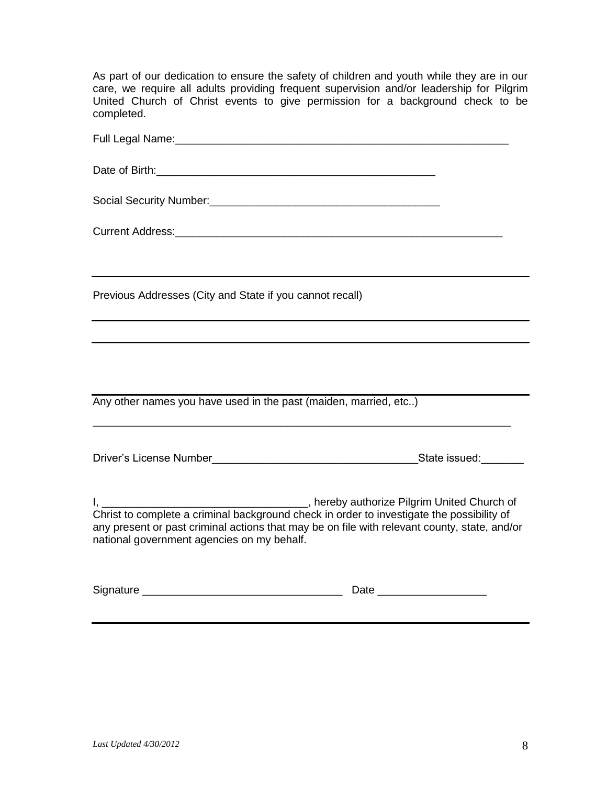As part of our dedication to ensure the safety of children and youth while they are in our care, we require all adults providing frequent supervision and/or leadership for Pilgrim United Church of Christ events to give permission for a background check to be completed.

| Previous Addresses (City and State if you cannot recall)                                                                                                                                                                                |      |  |  |
|-----------------------------------------------------------------------------------------------------------------------------------------------------------------------------------------------------------------------------------------|------|--|--|
| and the control of the control of the control of the control of the control of the control of the control of the                                                                                                                        |      |  |  |
|                                                                                                                                                                                                                                         |      |  |  |
| Any other names you have used in the past (maiden, married, etc)                                                                                                                                                                        |      |  |  |
|                                                                                                                                                                                                                                         |      |  |  |
|                                                                                                                                                                                                                                         |      |  |  |
| Christ to complete a criminal background check in order to investigate the possibility of<br>any present or past criminal actions that may be on file with relevant county, state, and/or<br>national government agencies on my behalf. |      |  |  |
|                                                                                                                                                                                                                                         | Date |  |  |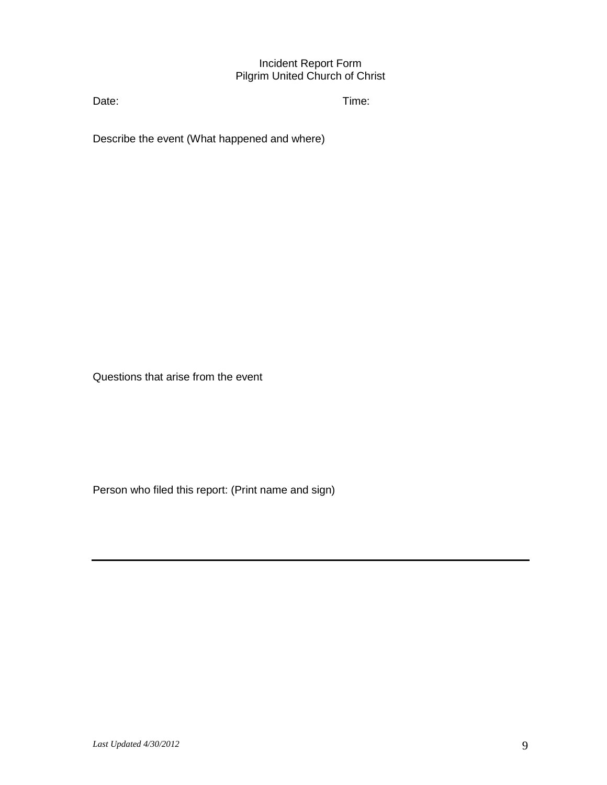## Incident Report Form Pilgrim United Church of Christ

Date: Time:

Describe the event (What happened and where)

Questions that arise from the event

Person who filed this report: (Print name and sign)